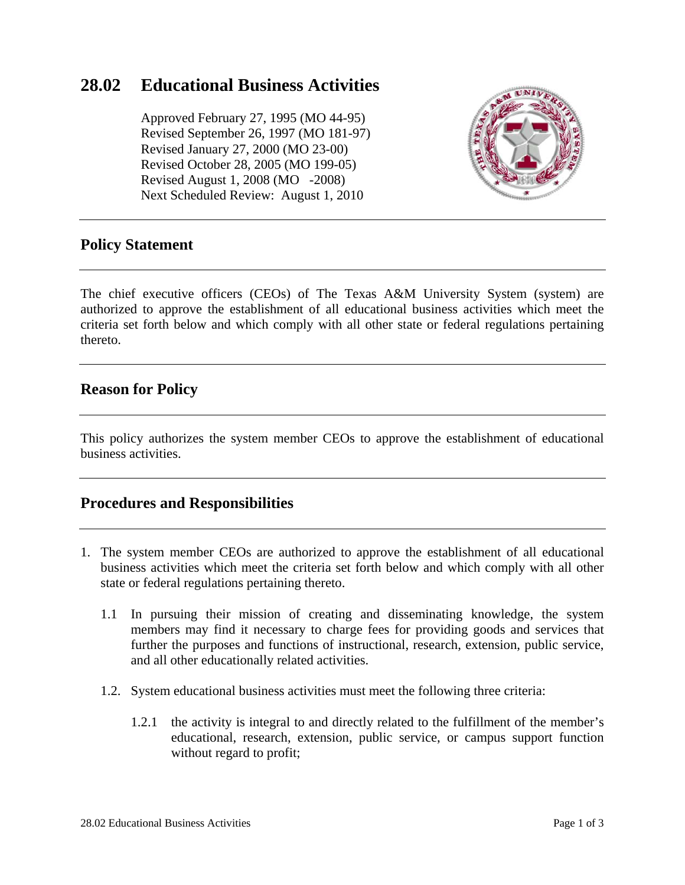# **28.02 Educational Business Activities**

 Approved February 27, 1995 (MO 44-95) Revised September 26, 1997 (MO 181-97) Revised January 27, 2000 (MO 23-00) Revised October 28, 2005 (MO 199-05) Revised August 1, 2008 (MO -2008) Next Scheduled Review: August 1, 2010



### **Policy Statement**

The chief executive officers (CEOs) of The Texas A&M University System (system) are authorized to approve the establishment of all educational business activities which meet the criteria set forth below and which comply with all other state or federal regulations pertaining thereto.

### **Reason for Policy**

This policy authorizes the system member CEOs to approve the establishment of educational business activities.

### **Procedures and Responsibilities**

- 1. The system member CEOs are authorized to approve the establishment of all educational business activities which meet the criteria set forth below and which comply with all other state or federal regulations pertaining thereto.
	- 1.1 In pursuing their mission of creating and disseminating knowledge, the system members may find it necessary to charge fees for providing goods and services that further the purposes and functions of instructional, research, extension, public service, and all other educationally related activities.
	- 1.2. System educational business activities must meet the following three criteria:
		- 1.2.1 the activity is integral to and directly related to the fulfillment of the member's educational, research, extension, public service, or campus support function without regard to profit;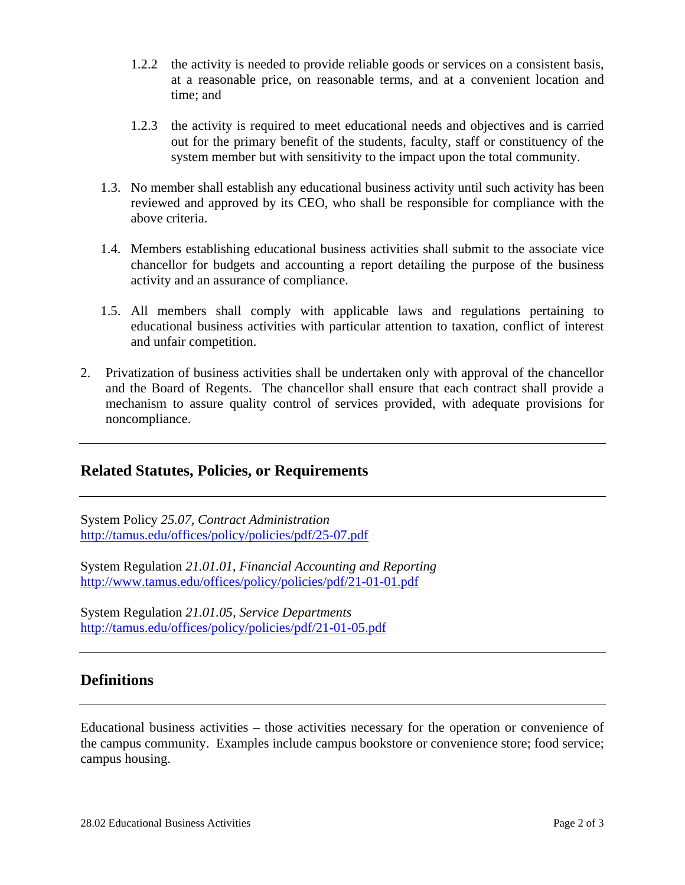- 1.2.2 the activity is needed to provide reliable goods or services on a consistent basis, at a reasonable price, on reasonable terms, and at a convenient location and time; and
- 1.2.3 the activity is required to meet educational needs and objectives and is carried out for the primary benefit of the students, faculty, staff or constituency of the system member but with sensitivity to the impact upon the total community.
- 1.3. No member shall establish any educational business activity until such activity has been reviewed and approved by its CEO, who shall be responsible for compliance with the above criteria.
- 1.4. Members establishing educational business activities shall submit to the associate vice chancellor for budgets and accounting a report detailing the purpose of the business activity and an assurance of compliance.
- 1.5. All members shall comply with applicable laws and regulations pertaining to educational business activities with particular attention to taxation, conflict of interest and unfair competition.
- 2. Privatization of business activities shall be undertaken only with approval of the chancellor and the Board of Regents. The chancellor shall ensure that each contract shall provide a mechanism to assure quality control of services provided, with adequate provisions for noncompliance.

#### **Related Statutes, Policies, or Requirements**

System Policy *25.07, Contract Administration* http://tamus.edu/offices/policy/policies/pdf/25-07.pdf

System Regulation *21.01.01, Financial Accounting and Reporting* http://www.tamus.edu/offices/policy/policies/pdf/21-01-01.pdf

System Regulation *21.01.05, Service Departments* http://tamus.edu/offices/policy/policies/pdf/21-01-05.pdf

### **Definitions**

Educational business activities – those activities necessary for the operation or convenience of the campus community. Examples include campus bookstore or convenience store; food service; campus housing.